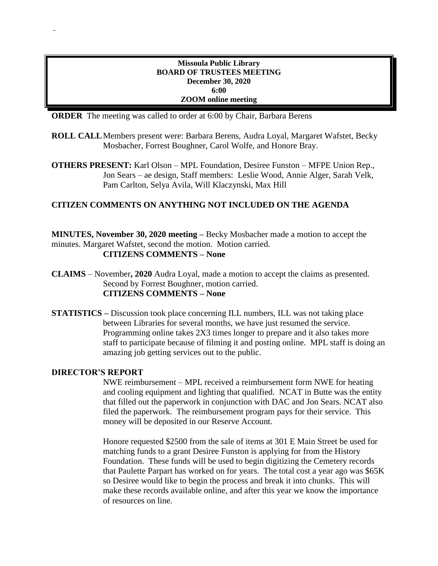### **Missoula Public Library BOARD OF TRUSTEES MEETING December 30, 2020 6:00 ZOOM online meeting**

**ORDER** The meeting was called to order at 6:00 by Chair, Barbara Berens

- **ROLL CALL**Members present were: Barbara Berens, Audra Loyal, Margaret Wafstet, Becky Mosbacher, Forrest Boughner, Carol Wolfe, and Honore Bray.
- **OTHERS PRESENT:** Karl Olson MPL Foundation, Desiree Funston MFPE Union Rep., Jon Sears – ae design, Staff members: Leslie Wood, Annie Alger, Sarah Velk, Pam Carlton, Selya Avila, Will Klaczynski, Max Hill

# **CITIZEN COMMENTS ON ANYTHING NOT INCLUDED ON THE AGENDA**

**MINUTES, November 30, 2020 meeting –** Becky Mosbacher made a motion to accept the minutes. Margaret Wafstet, second the motion. Motion carried. **CITIZENS COMMENTS – None**

**CLAIMS** – November**, 2020** Audra Loyal, made a motion to accept the claims as presented. Second by Forrest Boughner, motion carried. **CITIZENS COMMENTS – None**

**STATISTICS –** Discussion took place concerning ILL numbers, ILL was not taking place between Libraries for several months, we have just resumed the service. Programming online takes 2X3 times longer to prepare and it also takes more staff to participate because of filming it and posting online. MPL staff is doing an amazing job getting services out to the public.

#### **DIRECTOR'S REPORT**

-

NWE reimbursement – MPL received a reimbursement form NWE for heating and cooling equipment and lighting that qualified. NCAT in Butte was the entity that filled out the paperwork in conjunction with DAC and Jon Sears. NCAT also filed the paperwork. The reimbursement program pays for their service. This money will be deposited in our Reserve Account.

Honore requested \$2500 from the sale of items at 301 E Main Street be used for matching funds to a grant Desiree Funston is applying for from the History Foundation. These funds will be used to begin digitizing the Cemetery records that Paulette Parpart has worked on for years. The total cost a year ago was \$65K so Desiree would like to begin the process and break it into chunks. This will make these records available online, and after this year we know the importance of resources on line.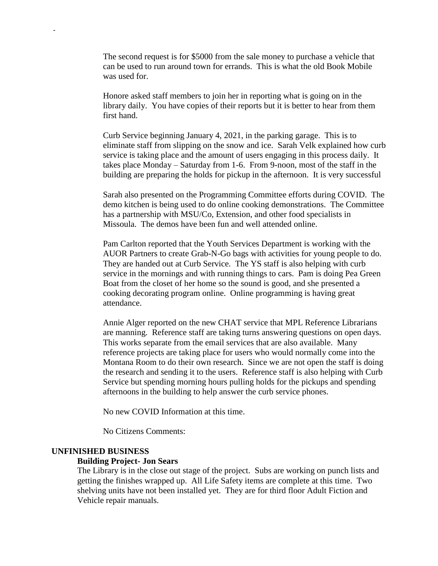The second request is for \$5000 from the sale money to purchase a vehicle that can be used to run around town for errands. This is what the old Book Mobile was used for.

Honore asked staff members to join her in reporting what is going on in the library daily. You have copies of their reports but it is better to hear from them first hand.

Curb Service beginning January 4, 2021, in the parking garage. This is to eliminate staff from slipping on the snow and ice. Sarah Velk explained how curb service is taking place and the amount of users engaging in this process daily. It takes place Monday – Saturday from 1-6. From 9-noon, most of the staff in the building are preparing the holds for pickup in the afternoon. It is very successful

Sarah also presented on the Programming Committee efforts during COVID. The demo kitchen is being used to do online cooking demonstrations. The Committee has a partnership with MSU/Co, Extension, and other food specialists in Missoula. The demos have been fun and well attended online.

Pam Carlton reported that the Youth Services Department is working with the AUOR Partners to create Grab-N-Go bags with activities for young people to do. They are handed out at Curb Service. The YS staff is also helping with curb service in the mornings and with running things to cars. Pam is doing Pea Green Boat from the closet of her home so the sound is good, and she presented a cooking decorating program online. Online programming is having great attendance.

Annie Alger reported on the new CHAT service that MPL Reference Librarians are manning. Reference staff are taking turns answering questions on open days. This works separate from the email services that are also available. Many reference projects are taking place for users who would normally come into the Montana Room to do their own research. Since we are not open the staff is doing the research and sending it to the users. Reference staff is also helping with Curb Service but spending morning hours pulling holds for the pickups and spending afternoons in the building to help answer the curb service phones.

No new COVID Information at this time.

No Citizens Comments:

#### **UNFINISHED BUSINESS**

-

#### **Building Project- Jon Sears**

The Library is in the close out stage of the project. Subs are working on punch lists and getting the finishes wrapped up. All Life Safety items are complete at this time. Two shelving units have not been installed yet. They are for third floor Adult Fiction and Vehicle repair manuals.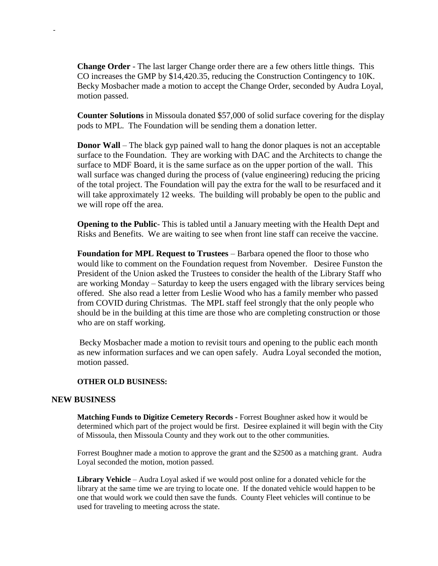**Change Order** - The last larger Change order there are a few others little things. This CO increases the GMP by \$14,420.35, reducing the Construction Contingency to 10K. Becky Mosbacher made a motion to accept the Change Order, seconded by Audra Loyal, motion passed.

**Counter Solutions** in Missoula donated \$57,000 of solid surface covering for the display pods to MPL. The Foundation will be sending them a donation letter.

**Donor Wall** – The black gyp pained wall to hang the donor plaques is not an acceptable surface to the Foundation. They are working with DAC and the Architects to change the surface to MDF Board, it is the same surface as on the upper portion of the wall. This wall surface was changed during the process of (value engineering) reducing the pricing of the total project. The Foundation will pay the extra for the wall to be resurfaced and it will take approximately 12 weeks. The building will probably be open to the public and we will rope off the area.

**Opening to the Public**- This is tabled until a January meeting with the Health Dept and Risks and Benefits. We are waiting to see when front line staff can receive the vaccine.

**Foundation for MPL Request to Trustees** – Barbara opened the floor to those who would like to comment on the Foundation request from November. Desiree Funston the President of the Union asked the Trustees to consider the health of the Library Staff who are working Monday – Saturday to keep the users engaged with the library services being offered. She also read a letter from Leslie Wood who has a family member who passed from COVID during Christmas. The MPL staff feel strongly that the only people who should be in the building at this time are those who are completing construction or those who are on staff working.

Becky Mosbacher made a motion to revisit tours and opening to the public each month as new information surfaces and we can open safely. Audra Loyal seconded the motion, motion passed.

#### **OTHER OLD BUSINESS:**

#### **NEW BUSINESS**

-

**Matching Funds to Digitize Cemetery Records -** Forrest Boughner asked how it would be determined which part of the project would be first. Desiree explained it will begin with the City of Missoula, then Missoula County and they work out to the other communities.

Forrest Boughner made a motion to approve the grant and the \$2500 as a matching grant. Audra Loyal seconded the motion, motion passed.

**Library Vehicle** – Audra Loyal asked if we would post online for a donated vehicle for the library at the same time we are trying to locate one. If the donated vehicle would happen to be one that would work we could then save the funds. County Fleet vehicles will continue to be used for traveling to meeting across the state.